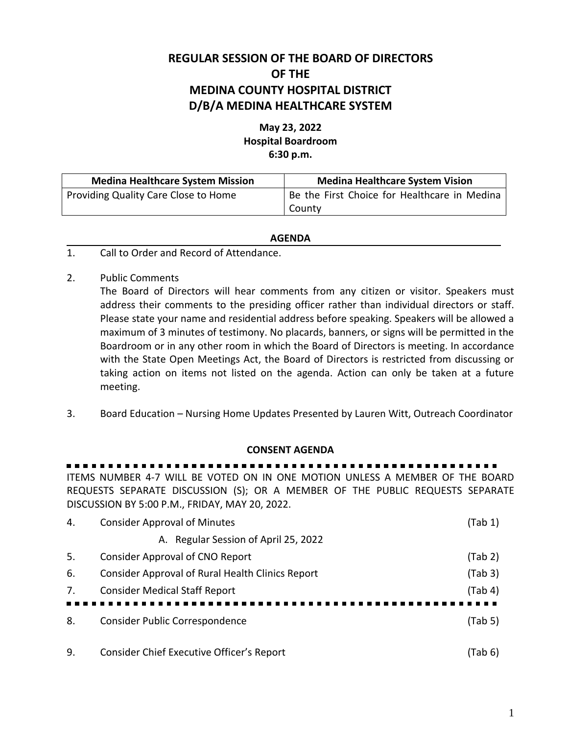# **REGULAR SESSION OF THE BOARD OF DIRECTORS OF THE MEDINA COUNTY HOSPITAL DISTRICT D/B/A MEDINA HEALTHCARE SYSTEM**

## **May 23, 2022 Hospital Boardroom 6:30 p.m.**

| <b>Medina Healthcare System Mission</b> | <b>Medina Healthcare System Vision</b>       |  |
|-----------------------------------------|----------------------------------------------|--|
| Providing Quality Care Close to Home    | Be the First Choice for Healthcare in Medina |  |
|                                         | County                                       |  |

#### **AGENDA**

- 1. Call to Order and Record of Attendance.
- 2. Public Comments

The Board of Directors will hear comments from any citizen or visitor. Speakers must address their comments to the presiding officer rather than individual directors or staff. Please state your name and residential address before speaking. Speakers will be allowed a maximum of 3 minutes of testimony. No placards, banners, or signs will be permitted in the Boardroom or in any other room in which the Board of Directors is meeting. In accordance with the State Open Meetings Act, the Board of Directors is restricted from discussing or taking action on items not listed on the agenda. Action can only be taken at a future meeting.

3. Board Education – Nursing Home Updates Presented by Lauren Witt, Outreach Coordinator

#### **CONSENT AGENDA**

. . . . . . . . . ITEMS NUMBER 4-7 WILL BE VOTED ON IN ONE MOTION UNLESS A MEMBER OF THE BOARD

REQUESTS SEPARATE DISCUSSION (S); OR A MEMBER OF THE PUBLIC REQUESTS SEPARATE DISCUSSION BY 5:00 P.M., FRIDAY, MAY 20, 2022.

| 4.  | <b>Consider Approval of Minutes</b>              | (Tab 1) |
|-----|--------------------------------------------------|---------|
|     | A. Regular Session of April 25, 2022             |         |
| -5. | Consider Approval of CNO Report                  | (Tab 2) |
| 6.  | Consider Approval of Rural Health Clinics Report | (Tab 3) |
| 7.  | <b>Consider Medical Staff Report</b>             | (Tab 4) |
|     |                                                  |         |
| 8.  | <b>Consider Public Correspondence</b>            | (Tab 5) |
|     |                                                  |         |
| 9.  | Consider Chief Executive Officer's Report        | (Tab 6) |